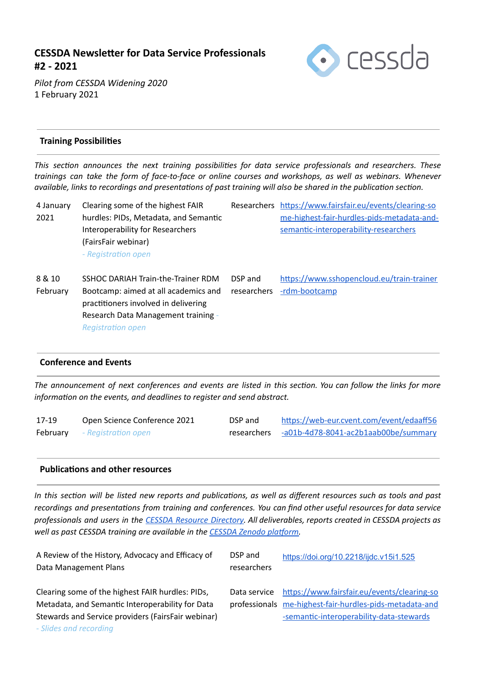# **CESSDA Newsleer for Data Service Professionals #2 - 2021**



*Pilot from CESSDA Widening 2020*  1 February 2021

### **Training Possibilies**

*This secon announces the next training possibilies for data service professionals and researchers. These trainings can take the form of face-to-face or online courses and workshops, as well as webinars. Whenever available, links to recordings and presentations of past training will also be shared in the publication section.* 

| 4 January<br>2021  | Clearing some of the highest FAIR<br>hurdles: PIDs, Metadata, and Semantic<br>Interoperability for Researchers<br>(FairsFair webinar)<br>- Registration open | Researchers            | https://www.fairsfair.eu/events/clearing-so<br>me-highest-fair-hurdles-pids-metadata-and-<br>semantic-interoperability-researchers |
|--------------------|--------------------------------------------------------------------------------------------------------------------------------------------------------------|------------------------|------------------------------------------------------------------------------------------------------------------------------------|
| 8 & 10<br>February | SSHOC DARIAH Train-the-Trainer RDM<br>Bootcamp: aimed at all academics and<br>practitioners involved in delivering<br>Research Data Management training      | DSP and<br>researchers | https://www.sshopencloud.eu/train-trainer<br>-rdm-bootcamp                                                                         |

**Registration** open

#### **Conference and Events**

The announcement of next conferences and events are listed in this section. You can follow the links for more *information* on the events, and deadlines to register and send abstract.

| 17-19 | Open Science Conference 2021        | DSP and     | https://web-eur.cvent.com/event/edaaff56 |
|-------|-------------------------------------|-------------|------------------------------------------|
|       | <b>February</b> - Registration open | researchers | -a01b-4d78-8041-ac2b1aab00be/summary     |

#### **Publications and other resources**

In this section will be listed new reports and publications, as well as different resources such as tools and past *recordings and presentaons from training and conferences. You can find other useful resources for data service* professionals and users in the CESSDA Resource [Directory](https://www.zotero.org/groups/2382601/cessda_resource_directory/library). All deliverables, reports created in CESSDA projects as *well* as past CESSDA training are available in the CESSDA Zenodo platform.

| A Review of the History, Advocacy and Efficacy of  | DSP and      | https://doi.org/10.2218/ijdc.v15i1.525                  |
|----------------------------------------------------|--------------|---------------------------------------------------------|
| Data Management Plans                              | researchers  |                                                         |
|                                                    |              |                                                         |
| Clearing some of the highest FAIR hurdles: PIDs,   | Data service | https://www.fairsfair.eu/events/clearing-so             |
| Metadata, and Semantic Interoperability for Data   |              | professionals me-highest-fair-hurdles-pids-metadata-and |
| Stewards and Service providers (FairsFair webinar) |              | -semantic-interoperability-data-stewards                |
| - Slides and recording                             |              |                                                         |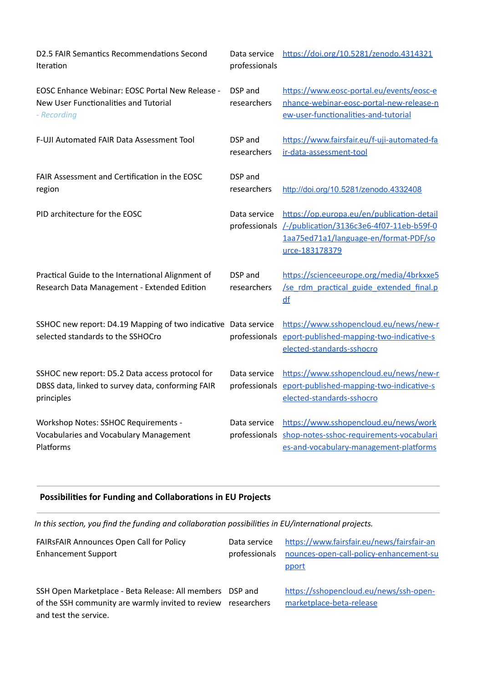| D2.5 FAIR Semantics Recommendations Second<br>Iteration                                                            | Data service<br>professionals | https://doi.org/10.5281/zenodo.4314321                                                                                                                          |
|--------------------------------------------------------------------------------------------------------------------|-------------------------------|-----------------------------------------------------------------------------------------------------------------------------------------------------------------|
| EOSC Enhance Webinar: EOSC Portal New Release -<br>New User Functionalities and Tutorial<br>- Recording            | DSP and<br>researchers        | https://www.eosc-portal.eu/events/eosc-e<br>nhance-webinar-eosc-portal-new-release-n<br>ew-user-functionalities-and-tutorial                                    |
| F-UJI Automated FAIR Data Assessment Tool                                                                          | DSP and<br>researchers        | https://www.fairsfair.eu/f-uji-automated-fa<br>ir-data-assessment-tool                                                                                          |
| FAIR Assessment and Certification in the EOSC<br>region                                                            | DSP and<br>researchers        | http://doi.org/10.5281/zenodo.4332408                                                                                                                           |
| PID architecture for the EOSC                                                                                      | Data service                  | https://op.europa.eu/en/publication-detail<br>professionals /-/publication/3136c3e6-4f07-11eb-b59f-0<br>1aa75ed71a1/language-en/format-PDF/so<br>urce-183178379 |
| Practical Guide to the International Alignment of<br>Research Data Management - Extended Edition                   | DSP and<br>researchers        | https://scienceeurope.org/media/4brkxxe5<br>/se_rdm_practical_guide_extended_final.p<br>df                                                                      |
| SSHOC new report: D4.19 Mapping of two indicative Data service<br>selected standards to the SSHOCro                | professionals                 | https://www.sshopencloud.eu/news/new-r<br>eport-published-mapping-two-indicative-s<br>elected-standards-sshocro                                                 |
| SSHOC new report: D5.2 Data access protocol for<br>DBSS data, linked to survey data, conforming FAIR<br>principles | Data service<br>professionals | https://www.sshopencloud.eu/news/new-r<br>eport-published-mapping-two-indicative-s<br>elected-standards-sshocro                                                 |
| <b>Workshop Notes: SSHOC Requirements -</b><br>Vocabularies and Vocabulary Management<br>Platforms                 | Data service<br>professionals | https://www.sshopencloud.eu/news/work<br>shop-notes-sshoc-requirements-vocabulari<br>es-and-vocabulary-management-platforms                                     |

# Possibilities for Funding and Collaborations in EU Projects

In this section, you find the funding and collaboration possibilities in EU/international projects.

| <b>FAIRSFAIR Announces Open Call for Policy</b> | Data service | https://www.fairsfair.eu/news/fairsfair-an            |
|-------------------------------------------------|--------------|-------------------------------------------------------|
| <b>Enhancement Support</b>                      |              | professionals nounces-open-call-policy-enhancement-su |
|                                                 |              | pport                                                 |

SSH Open Marketplace - Beta Release: All members DSP and of the SSH community are warmly invited to review researchers and test the service.

https://sshopencloud.eu/news/ssh-openmarketplace-beta-release